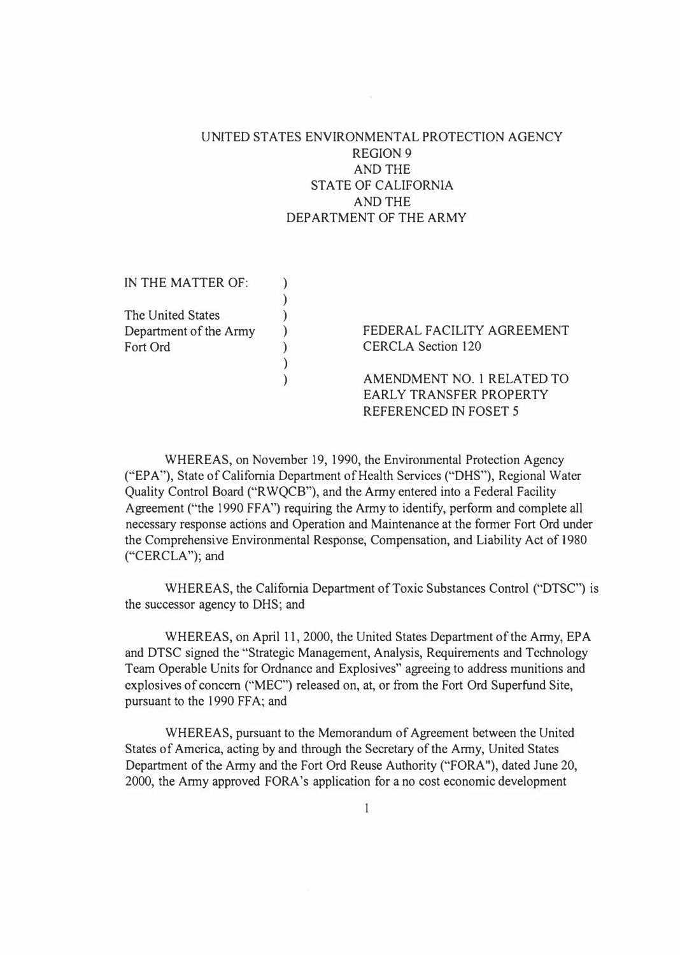## UNITED STATES ENVIRONMENTAL PROTECTION AGENCY REGION 9 AND THE STATE OF CALIFORNIA AND THE DEPARTMENT OF THE ARMY

IN THE MATTER OF: The United States Department of the Army Fort Ord ) **) )**  ) **)**  ) **)**  FEDERAL FACILITY AGREEMENT CERCLA Section 120 AMENDMENT NO. 1 RELATED TO EARLY TRANSFER PROPERTY REFERENCED IN FOSET 5

WHEREAS, on November 19, 1990, the Environmental Protection Agency ("EPA"), State of California Department of Health Services ("OHS"), Regional Water Quality Control Board ("RWQCB"), and the Army entered into a Federal Facility Agreement ("the 1990 FFA") requiring the Army to identify, perform and complete all necessary response actions and Operation and Maintenance at the former Fort Ord under the Comprehensive Environmental Response, Compensation, and Liability Act of 1980 ("CERCLA"); and

WHEREAS, the California Department of Toxic Substances Control ("DTSC") is the successor agency to OHS; and

WHEREAS, on April 11, 2000, the United States Department of the Army, EPA and DTSC signed the "Strategic Management, Analysis, Requirements and Technology Team Operable Units for Ordnance and Explosives" agreeing to address munitions and explosives of concern ("MEC'') released on, at, or from the Fort Ord Superfund Site, pursuant to the 1990 FFA; and

WHEREAS, pursuant to the Memorandum of Agreement between the United States of America, acting by and through the Secretary of the Army, United States Department of the Army and the Fort Ord Reuse Authority ("FORA"), dated June 20, 2000, the Army approved FORA's application for a no cost economic development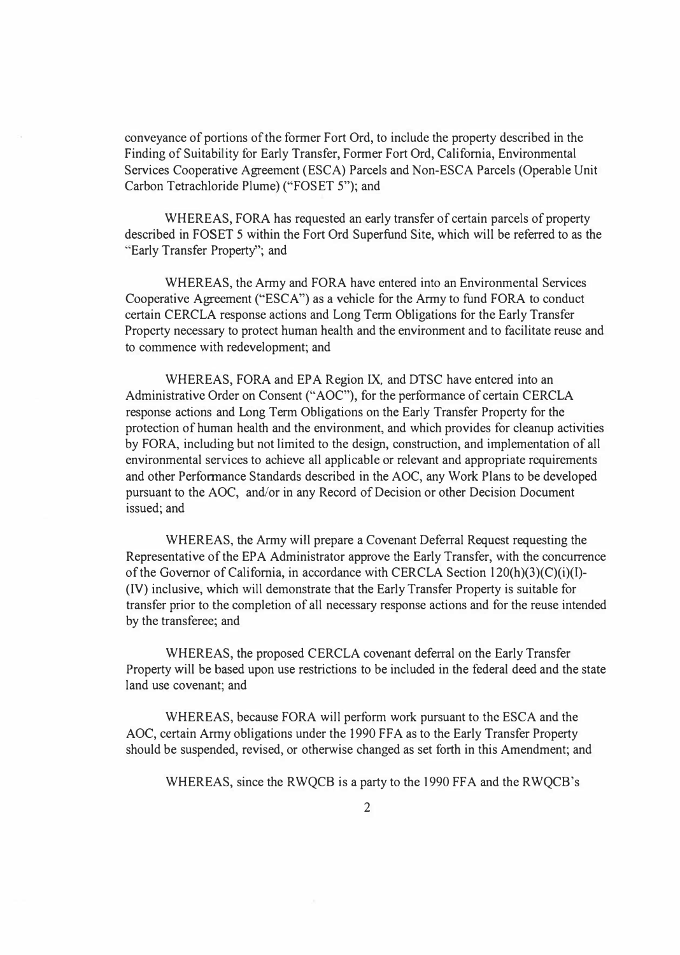conveyance of portions of the former Fort Ord, to include the property described in the Finding of Suitability for Early Transfer, Former Fort Ord, California, Environmental Services Cooperative Agreement (ESCA) Parcels and Non-ESCA Parcels (Operable Unit Carbon Tetrachloride Plume) ("FOSET 5"); and

WHEREAS, FORA has requested an early transfer of certain parcels of property described in FOSET 5 within the Fort Ord Superfund Site, which will be referred to as the "Early Transfer Property"; and

WHEREAS, the Army and FORA have entered into an Environmental Services Cooperative Agreement ("ESCA") as a vehicle for the Army to fund FORA to conduct certain CERCLA response actions and Long Term Obligations for the Early Transfer Property necessary to protect human health and the environment and to facilitate reuse and to commence with redevelopment; and

WHEREAS, FORA and EPA Region IX, and DTSC have entered into an Administrative Order on Consent ("AOC"), for the performance of certain CERCLA response actions and Long Term Obligations on the Early Transfer Property for the protection of human health and the environment, and which provides for cleanup activities by FORA, including but not limited to the design, construction, and implementation of all environmental services to achieve all applicable or relevant and appropriate requirements and other Performance Standards described in the AOC, any Work Plans to be developed pursuant to the AOC, and/or in any Record of Decision or other Decision Document issued; and

WHEREAS, the Army will prepare a Covenant Deferral Request requesting the Representative of the EPA Administrator approve the Early Transfer, with the concurrence of the Governor of California, in accordance with CERCLA Section 120(h)(3)(C)(i)(l)-(IV) inclusive, which will demonstrate that the Early Transfer Property is suitable for transfer prior to the completion of all necessary response actions and for the reuse intended by the transferee; and

WHEREAS, the proposed CERCLA covenant deferral on the Early Transfer Property will be based upon use restrictions to be included in the federal deed and the state land use covenant; and

WHEREAS, because FORA will perform work pursuant to the ESCA and the AOC, certain Army obligations under the 1990 FFA as to the Early Transfer Property should be suspended, revised, or otherwise changed as set forth in this Amendment; and

WHEREAS, since the RWQCB is a party to the 1990 FFA and the RWQCB's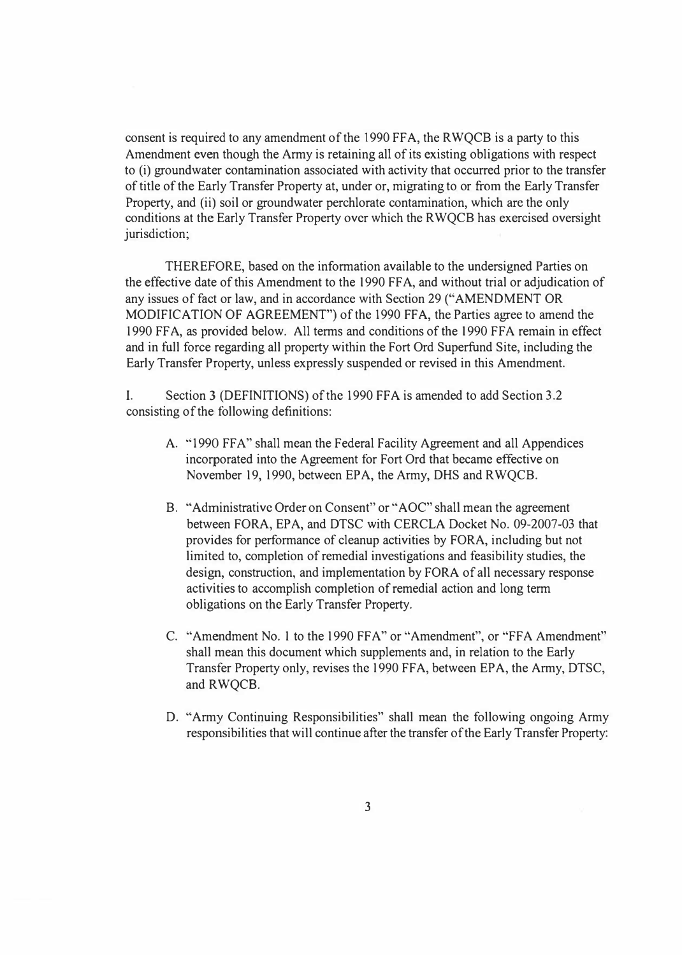consent is required to any amendment of the 1990 FFA, the RWQCB is a party to this Amendment even though the Army is retaining all of its existing obligations with respect to (i) groundwater contamination associated with activity that occurred prior to the transfer of title of the Early Transfer Property at, under or, migrating to or from the Early Transfer Property, and (ii) soil or groundwater perchlorate contamination, which arc the only conditions at the Early Transfer Property over which the RWQCB has exercised oversight jurisdiction;

THEREFORE, based on the information available to the undersigned Parties on the effective date of this Amendment to the 1990 FF A, and without trial or adjudication of any issues of fact or law, and in accordance with Section 29 ("AMENDMENT OR MODIFICATION OF AGREEMENT") of the 1990 FF A, the Parties agree to amend the 1990 FFA, as provided below. All terms and conditions of the 1990 FFA remain in effect and in full force regarding all property within the Fort Ord Superfund Site, including the Early Transfer Property, unless expressly suspended or revised in this Amendment.

I. Section 3 (DEFINITIONS) of the 1990 FFA is amended to add Section 3.2 consisting of the following definitions:

- A. "1990 FFA" shall mean the Federal Facility Agreement and all Appendices incorporated into the Agreement for Fort Ord that became effective on November 19, 1990, between EPA, the Army, DHS and RWQCB.
- B. "Administrative Order on Consent" or "AOC" shall mean the agreement between FORA, EPA, and DTSC with CERCLA Docket No. 09-2007-03 that provides for performance of cleanup activities by FORA, including but not limited to, completion of remedial investigations and feasibility studies, the design, construction, and implementation by FORA of all necessary response activities to accomplish completion of remedial action and long term obligations on the Early Transfer Property.
- C. "Amendment No. 1 to the 1990 FFA" or "Amendment", or "FFA Amendment" shall mean this document which supplements and, in relation to the Early Transfer Property only, revises the 1990 FF A, between EPA, the Army, DTSC, and RWQCB.
- D. "Army Continuing Responsibilities" shall mean the following ongoing Army responsibilities that will continue after the transfer of the Early Transfer Property: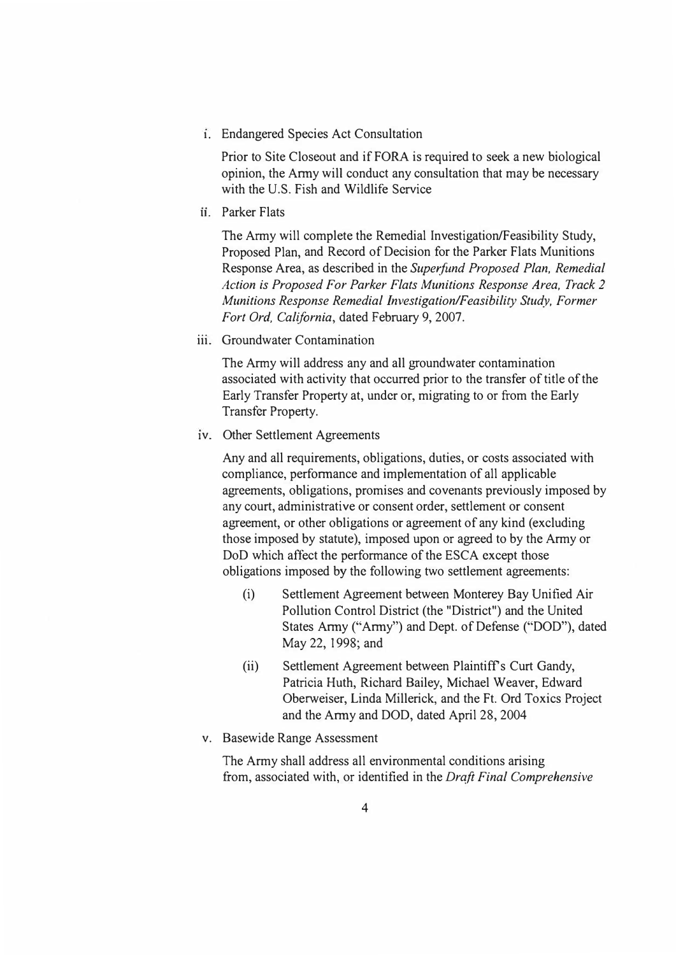**1.** Endangered Species Act Consultation

Prior to Site Closeout and if FORA is required to seek a new biological opinion, the Anny will conduct any consultation that may be necessary with the U.S. Fish and Wildlife Service

ii. Parker Flats

The Army will complete the Remedial Investigation/Feasibility Study, Proposed Plan, and Record of Decision for the Parker Flats Munitions Response Area, as described in the *Superfund Proposed Plan, Remedial Action is Proposed For Parker Flats Munitions Response Area, Track 2 Munitions Response Remedial Investigation/Feasibility Study, Former Fort Ord, California,* dated February 9, 2007.

iii. Groundwater Contamination

The Army will address any and all groundwater contamination associated with activity that occurred prior to the transfer of title of the Early Transfer Property at, under or, migrating to or from the Early Transfer Property.

1v. Other Settlement Agreements

Any and all requirements, obligations, duties, or costs associated with compliance, perfonnance and implementation of all applicable agreements, obligations, promises and covenants previously imposed by any court, administrative or consent order, settlement or consent agreement, or other obligations or agreement of any kind (excluding those imposed by statute), imposed upon or agreed to by the Army or DoD which affect the performance of the ESCA except those obligations imposed by the following two settlement agreements:

- (i) Settlement Agreement between Monterey Bay Unified Air Pollution Control District (the "District") and the United States Anny ("Anny") and Dept. of Defense ("DOD"), dated May 22, 1998; and
- (ii) Settlement Agreement between Plaintiff's Curt Gandy, Patricia Huth, Richard Bailey, Michael Weaver, Edward Oberweiser, Linda Millerick, and the Ft. Ord Toxics Project and the Anny and DOD, dated April 28, 2004
- v. Basewide Range Assessment

The Army shall address all environmental conditions arising from, associated with, or identified in the *Draft Final Comprehensive*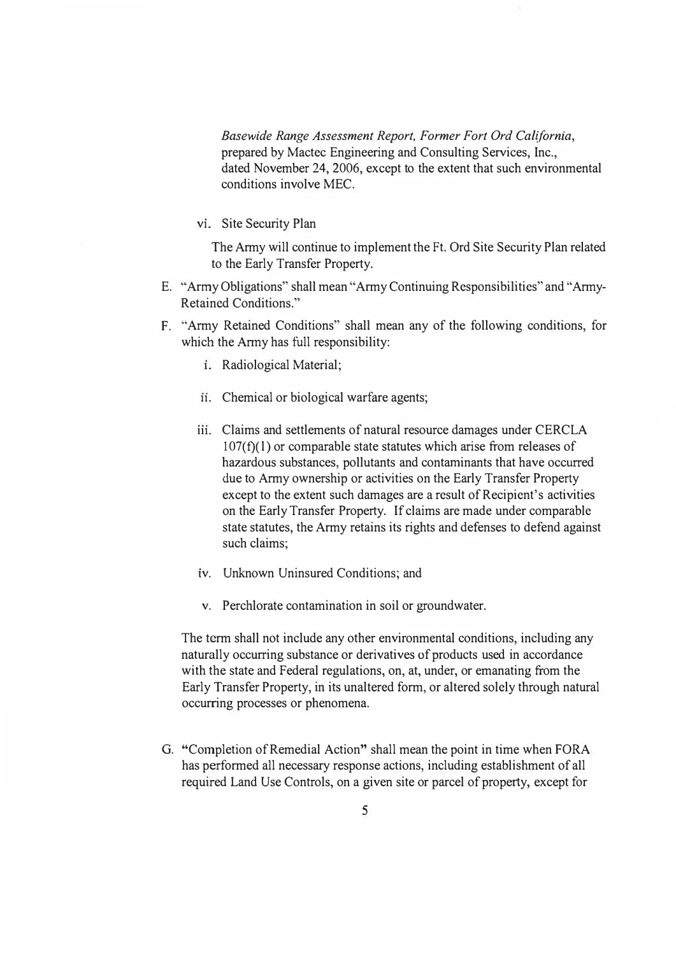*Basewide Range Assessment Report, Former Fort Ord California,*  prepared by Mactec Engineering and Consulting Services, Inc., dated November 24, 2006, except to the extent that such environmental conditions involve MEC.

vi. Site Security Plan

The Army will continue to implement the Ft. Ord Site Security Plan related to the Early Transfer Property.

- E. "Army Obligations" shall mean "Army Continuing Responsibilities" and "Army-Retaincd Conditions."
- F. "Army Retained Conditions" shall mean any of the following conditions, for which the Army has full responsibility:
	- **1.** Radiological Material;
	- ii. Chemical or biological warfare agents;
	- **111.** Claims and settlements of natural resource damages under CERCLA  $107(f)(1)$  or comparable state statutes which arise from releases of hazardous substances, pollutants and contaminants that have occurred due to Army ownership or activities on the Early Transfer Property except to the extent such damages are a result of Recipient's activities on the Early Transfer Property. If claims are made under comparable state statutes, the Army retains its rights and defenses to defend against such claims;
	- iv. Unknown Uninsured Conditions; and
	- v. Perchlorate contamination in soil or groundwater.

The term shall not include any other environmental conditions, including any naturally occurring substance or derivatives of products used in accordance with the state and Federal regulations, on, at, under, or emanating from the Early Transfer Property, in its unaltered form, or altered solely through natural occurring processes or phenomena.

G. "Completion of Remedial Action" shall mean the point in time when FORA has performed all necessary response actions, including establishment of all required Land Use Controls, on a given site or parcel of property, except for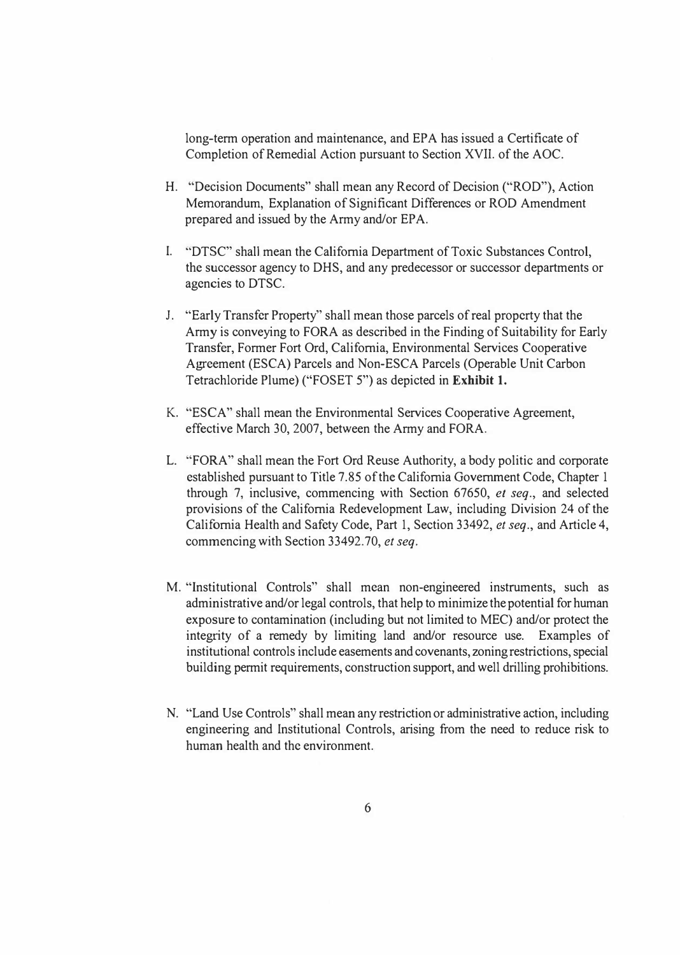long-term operation and maintenance, and EPA has issued a Certificate of Completion of Remedial Action pursuant to Section XVII. of the AOC.

- H. "Decision Documents" shall mean any Record of Decision ("ROD"), Action Memorandum, Explanation of Significant Differences or ROD Amendment prepared and issued by the Army and/or EPA.
- I. "DTSC" shall mean the California Department of Toxic Substances Control, the successor agency to DHS, and any predecessor or successor departments or agencies to DTSC.
- J. "Early Transfer Property" shall mean those parcels of real property that the Army is conveying to FORA as described in the Finding of Suitability for Early Transfer, Former Fort Ord, California, Environmental Services Cooperative Agreement (ESCA) Parcels and Non-ESCA Parcels (Operable Unit Carbon Tetrachloride Plume) ("FOSET 5") as depicted in **Exhibit 1.**
- K. "ESCA" shall mean the Environmental Services Cooperative Agreement, effective March 30, 2007, between the Army and FORA.
- L. "FORA" shall mean the Fort Ord Reuse Authority, a body politic and corporate established pursuant to Title 7.85 of the California Government Code, Chapter 1 through 7, inclusive, commencing with Section 67650, *et seq.,* and selected provisions of the California Redevelopment Law, including Division 24 of the California Health and Safety Code, Part 1, Section 33492, *et seq.,* and Article 4, commencing with Section 33492.70, *et seq.*
- M. "Institutional Controls" shall mean non-engineered instruments, such as administrative and/or legal controls, that help to minimize the potential for human exposure to contamination (including but not limited to MEC) and/or protect the integrity of a remedy by limiting land and/or resource use. Examples of institutional controls include easements and covenants, zoning restrictions, special building permit requirements, construction support, and well drilling prohibitions.
- N. "Land Use Controls" shall mean any restriction or administrative action, including engineering and Institutional Controls, arising from the need to reduce risk to human health and the environment.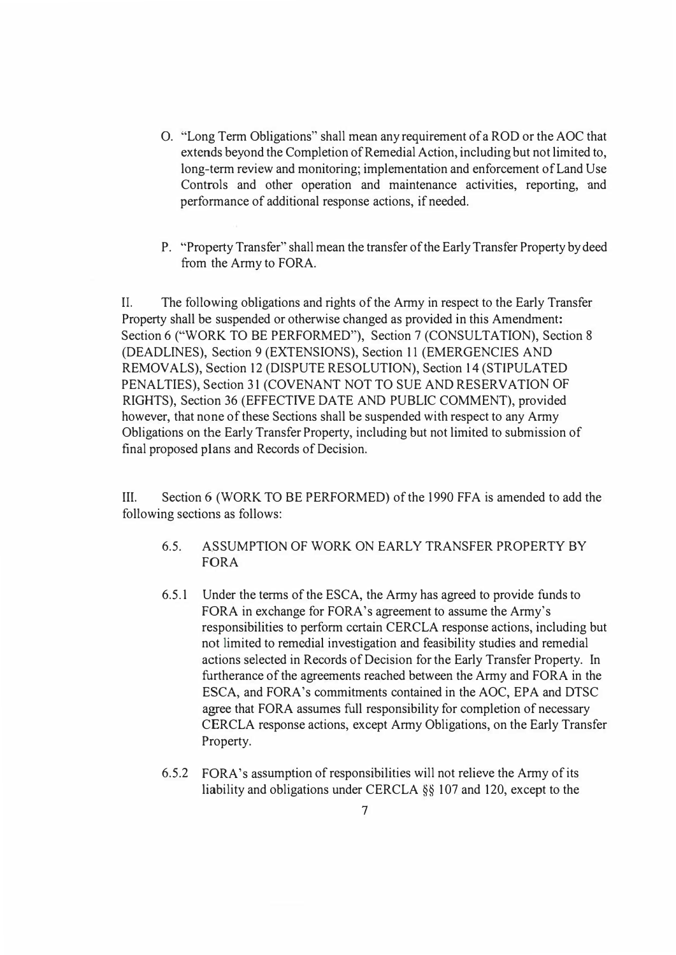- 0. "Long Term Obligations" shall mean any requirement of a ROD or the AOC that extends beyond the Completion of Remedial Action, including but not limited to, long-term review and monitoring; implementation and enforcement of Land Use Controls and other operation and maintenance activities, reporting, and performance of additional response actions, if needed.
- P. "Property Transfer" shall mean the transfer of the Early Transfer Property by deed from the Army to FORA.

IL The following obligations and rights of the Army in respect to the Early Transfer Property shall be suspended or otherwise changed as provided in this Amendment: Section 6 ("WORK TO BE PERFORMED"), Section 7 (CONSULTATION), Section 8 (DEADLINES), Section 9 (EXTENSIONS), Section 11 (EMERGENCIES AND REMOVALS), Section 12 (DISPUTE RESOLUTION), Section 14 (STIPULATED PENALTIES), Section 31 (COVENANT NOT TO SUE AND RESERVATION OF RIGHTS), Section 36 (EFFECTIVE DATE AND PUBLIC COMMENT), provided however, that none of these Sections shall be suspended with respect to any Army Obligations on the Early Transfer Property, including but not limited to submission of final proposed plans and Records of Decision.

III. Section 6 (WORK TO BE PERFORMED) of the 1990 FFA is amended to add the following sections as follows:

- 6.5. ASSUMPTION OF WORK ON EARLY TRANSFER PROPERTY BY FORA
- 6.5.1 Under the terms of the ESCA, the Army has agreed to provide funds to FORA in exchange for FORA's agreement to assume the Army's responsibilities to perform certain CERCLA response actions, including but not limited to remedial investigation and feasibility studies and remedial actions selected in Records of Decision for the Early Transfer Property. In furtherance of the agreements reached between the Army and FORA in the ESCA, and FORA's commitments contained in the AOC, EPA and DTSC agree that FORA assumes full responsibility for completion of necessary CERCLA response actions, except Army Obligations, on the Early Transfer Property.
- 6.5.2 FORA's assumption of responsibilities will not relieve the Army of its liability and obligations under CERCLA §§ 107 and 120, except to the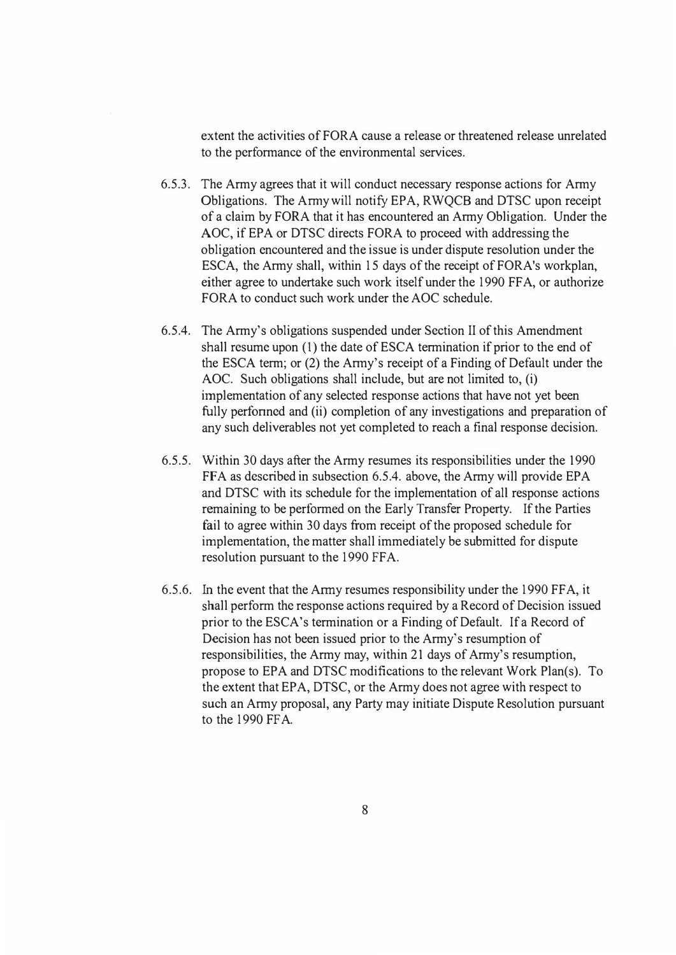extent the activities of FORA cause a release or threatened release unrelated to the perfonnancc of the environmental services.

- 6.5.3. The Army agrees that it will conduct necessary response actions for Anny Obligations. The Army will notify EPA, RWQCB and DTSC upon receipt of a claim by FORA that it has encountered an Army Obligation. Under the AOC, if EPA or DTSC directs FORA to proceed with addressing the obligation encountered and the issue is under dispute resolution under the ESCA, the Army shall, within 15 days of the receipt of FORA's workplan, either agree to undertake such work itself under the 1990 FF A, or authorize FORA to conduct such work under the AOC schedule.
- 6.5.4. The Army's obligations suspended under Section II of this Amendment shall resume upon (1) the date of ESCA termination if prior to the end of the ESCA tenn; or (2) the Anny's receipt of a Finding of Default under the AOC. Such obligations shall include, but are not limited to, (i) implementation of any selected response actions that have not yet been fully performed and (ii) completion of any investigations and preparation of any such deliverables not yet completed to reach a final response decision.
- 6.5.5. Within 30 days after the Army resumes its responsibilities under the 1990 FFA as described in subsection 6.5.4. above, the Army will provide EPA and DTSC with its schedule for the implementation of all response actions remaining to be performed on the Early Transfer Property. If the Parties fail to agree within 30 days from receipt of the proposed schedule for implementation, the matter shall immediately be submitted for dispute resolution pursuant to the 1990 FFA.
- 6.5.6. In the event that the Anny resumes responsibility under the 1990 FF A, it shall perform the response actions required by a Record of Decision issued prior to the ESCA's termination or a Finding of Default. If a Record of Decision has not been issued prior to the Army's resumption of responsibilities, the Army may, within 21 days of Army's resumption, propose to EPA and DTSC modifications to the relevant Work Plan(s). To the extent that EPA, DTSC, or the Army does not agree with respect to such an Anny proposal, any Party may initiate Dispute Resolution pursuant to the 1990 FF A.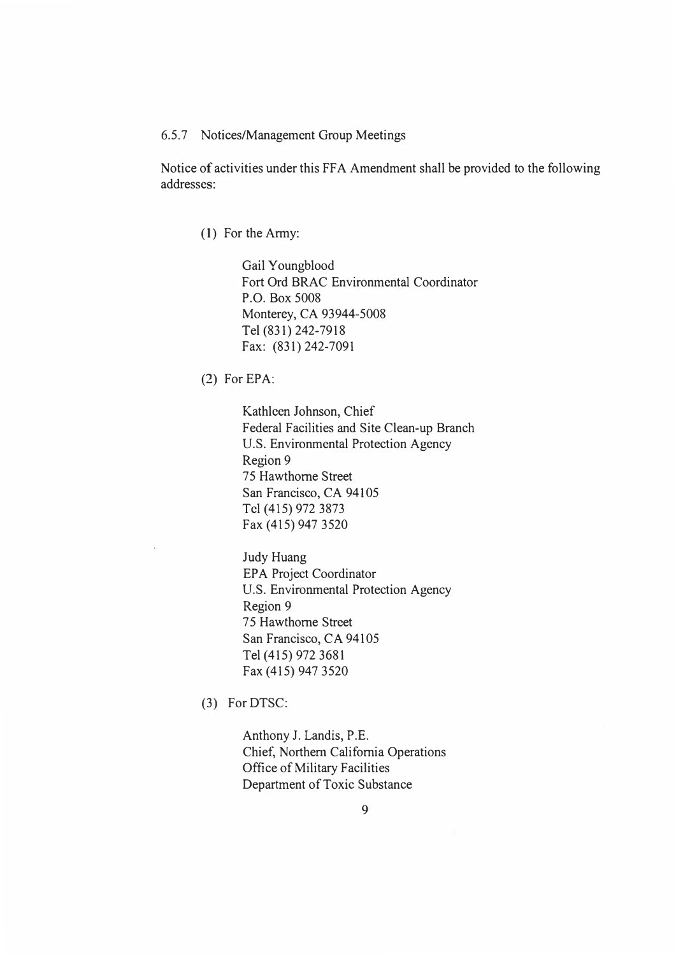#### 6.5.7 Notices/Management Group Meetings

Notice of activities under this FF A Amendment shall be provided to the following addresses:

(1) For the Army:

Gail Youngblood Fort Ord BRAC Environmental Coordinator P.O. Box 5008 Monterey, CA 93944-5008 Tel (831) 242-7918 Fax: (831) 242-7091

(2) For EPA:

Kathleen Johnson, Chief Federal Facilities and Site Clean-up Branch U.S. Environmental Protection Agency Region 9 75 Hawthorne Street San Francisco, CA 94105 Tel (415) 972 3873 Fax (415) 947 3520

Judy Huang EPA Project Coordinator U.S. Environmental Protection Agency Region 9 75 Hawthorne Street San Francisco, CA 94105 Tel (415) 972 3681 Fax (415) 947 3520

(3) For DTSC:

Anthony J. Landis, P.E. Chief, Northern California Operations Office of Military Facilities Department of Toxic Substance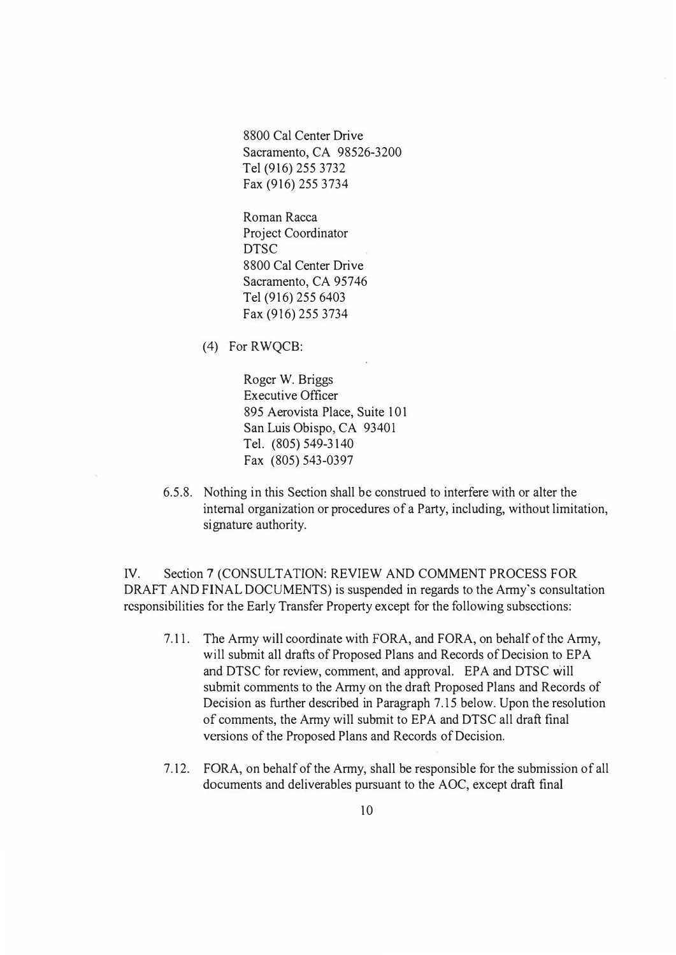8800 Cal Center Drive Sacramento, CA 98526-3200 Tel (916) 255 3732 Fax (916) 255 3734

Roman Racca Project Coordinator DTSC 8800 Cal Center Drive Sacramento, CA 95746 Tel (916) 255 6403 Fax (916) 255 3734

(4) For RWQCB:

Roger W. Briggs Executive Officer 895 Aerovista Place, Suite 101 San Luis Obispo, CA 93401 Tel. (805) 549-3140 Fax (805) 543-0397

6.5.8. Nothing in this Section shall be construed to interfere with or alter the internal organization or procedures of a Party, including, without limitation, signature authority.

IV. Section 7 (CONSULTATION: REVIEW AND COMMENT PROCESS FOR DRAFT AND FINAL DOCUMENTS) is suspended in regards to the Army's consultation responsibilities for the Early Transfer Property except for the following subsections:

- 7.11. The Army will coordinate with FORA, and FORA, on behalf of the Army, will submit all drafts of Proposed Plans and Records of Decision to EPA and DTSC for review, comment, and approval. EPA and DTSC will submit comments to the Army on the draft Proposed Plans and Records of Decision as further described in Paragraph 7.15 below. Upon the resolution of comments, the Army will submit to EPA and DTSC all draft final versions of the Proposed Plans and Records of Decision.
- 7.12. FORA, on behalf of the Army, shall be responsible for the submission of all documents and deliverables pursuant to the AOC, except draft final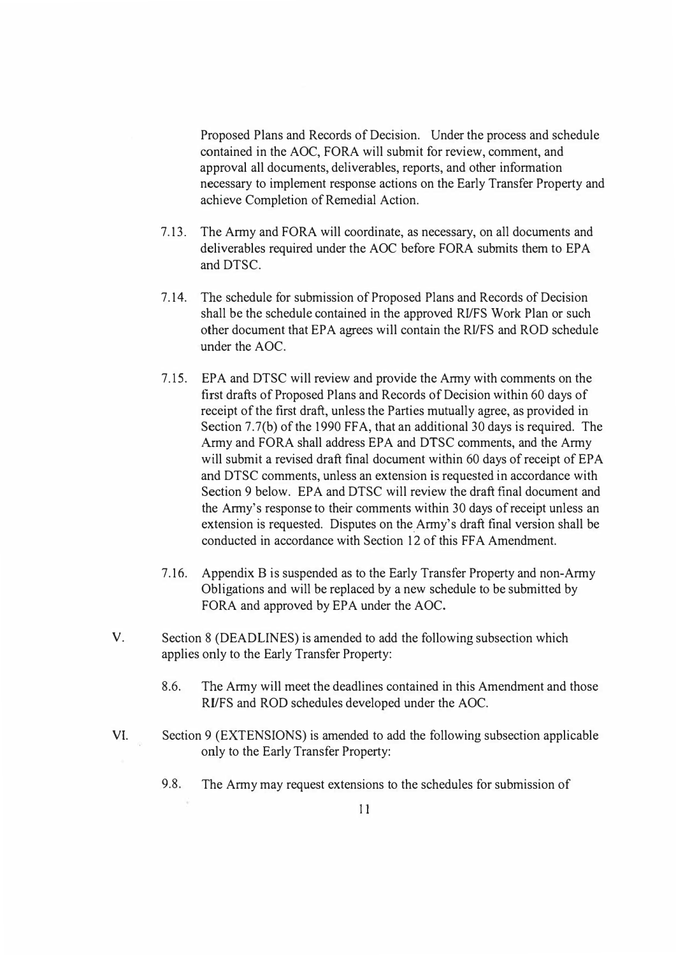Proposed Plans and Records of Decision. Under the process and schedule contained in the AOC, FORA will submit for review, comment, and approval all documents, deliverables, reports, and other information necessary to implement response actions on the Early Transfer Property and achieve Completion of Remedial Action.

- 7.13. The Army and FORA will coordinate, as necessary, on all documents and deliverables required under the AOC before FORA submits them to EPA and DTSC.
- 7 .14. The schedule for submission of Proposed Plans and Records of Decision shall be the schedule contained in the approved RI/FS Work Plan or such other document that EPA agrees will contain the RI/FS and ROD schedule under the AOC.
- 7.15. EPA and DTSC will review and provide the Army with comments on the first drafts of Proposed Plans and Records of Decision within 60 days of receipt of the first draft, unless the Parties mutually agree, as provided in Section 7.7(b) of the 1990 FFA, that an additional 30 days is required. The Army and FORA shall address EPA and DTSC comments, and the Army will submit a revised draft final document within 60 days of receipt of EPA and DTSC comments, unless an extension is requested in accordance with Section 9 below. EPA and DTSC will review the draft final document and the Army's response to their comments within 30 days of receipt unless an extension is requested. Disputes on the Army's draft final version shall be conducted in accordance with Section 12 of this FFA Amendment.
- 7 .16. Appendix B is suspended as to the Early Transfer Property and non-Army Obligations and will be replaced by a new schedule to be submitted by FORA and approved by EPA under the AOC.
- V. Section 8 (DEADLINES) is amended to add the following subsection which applies only to the Early Transfer Property:
	- 8.6. The Army will meet the deadlines contained in this Amendment and those RI/FS and ROD schedules developed under the AOC.
- VI. Section 9 (EXTENSIONS) is amended to add the following subsection applicable only to the Early Transfer Property:
	- 9.8. The Army may request extensions to the schedules for submission of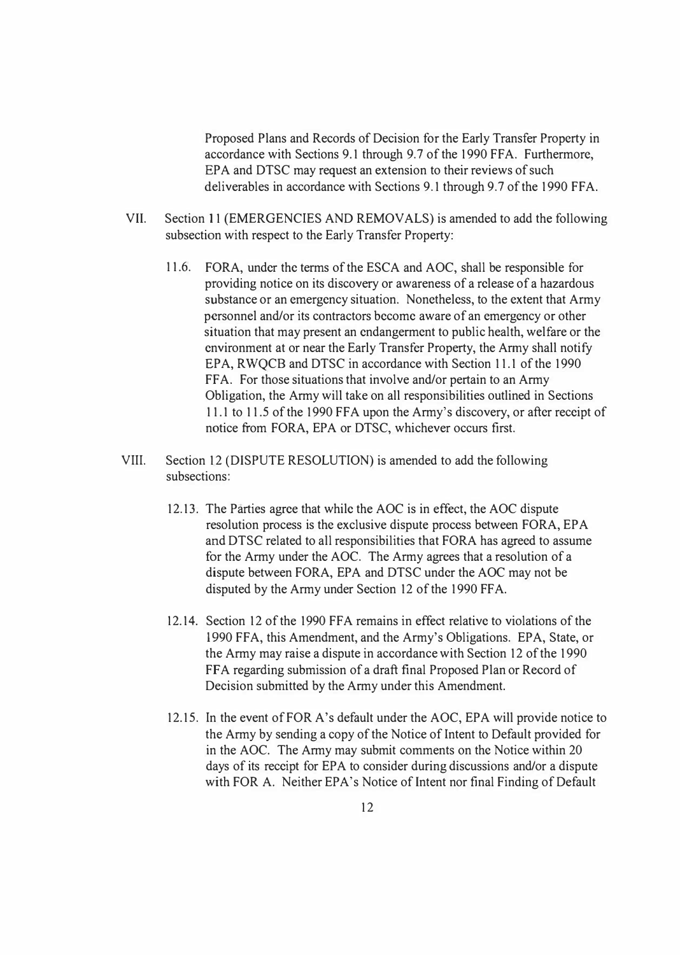Proposed Plans and Records of Decision for the Early Transfer Property in accordance with Sections 9.1 through 9.7 of the 1990 FFA. Furthermore, EPA and DTSC may request an extension to their reviews of such deliverables in accordance with Sections 9.1 through 9.7 of the 1990 FFA.

- VII. Section 11 (EMERGENCIES AND REMOVALS) is amended to add the following subsection with respect to the Early Transfer Property:
	- 11.6. FORA, under the terms of the ESCA and AOC, shall be responsible for providing notice on its discovery or awareness of a release of a hazardous substance or an emergency situation. Nonetheless, to the extent that Army personnel and/or its contractors become aware of an emergency or other situation that may present an endangerment to public health, welfare or the environment at or near the Early Transfer Property, the Army shall notify EPA, RWQCB and DTSC in accordance with Section 11.1 of the 1990 FFA. For those situations that involve and/or pertain to an Army Obligation, the Army will take on all responsibilities outlined in Sections 11.1 to 11.5 of the 1990 FFA upon the Army's discovery, or after receipt of notice from FORA, EPA or DTSC, whichever occurs first.
- VIII. Section 12 (DISPUTE RESOLUTION) is amended to add the following subsections:
	- 12.13. The Parties agree that while the AOC is in effect, the AOC dispute resolution process is the exclusive dispute process between FORA, EPA and DTSC related to all responsibilities that FORA has agreed to assume for the Army under the AOC. The Army agrees that a resolution of a dispute between FORA, EPA and DTSC under the AOC may not be disputed by the Army under Section 12 of the 1990 FFA.
	- 12.14. Section 12 of the 1990 FFA remains in effect relative to violations of the 1990 FFA, this Amendment, and the Army's Obligations. EPA, State, or the Army may raise a dispute in accordance with Section 12 of the 1990 FFA regarding submission of a draft final Proposed Plan or Record of Decision submitted by the Army under this Amendment.
	- 12.15. In the event of FOR A's default under the AOC, EPA will provide notice to the Army by sending a copy of the Notice of Intent to Default provided for in the AOC. The Army may submit comments on the Notice within 20 days of its receipt for EPA to consider during discussions and/or a dispute with FOR A. Neither EPA's Notice of Intent nor final Finding of Default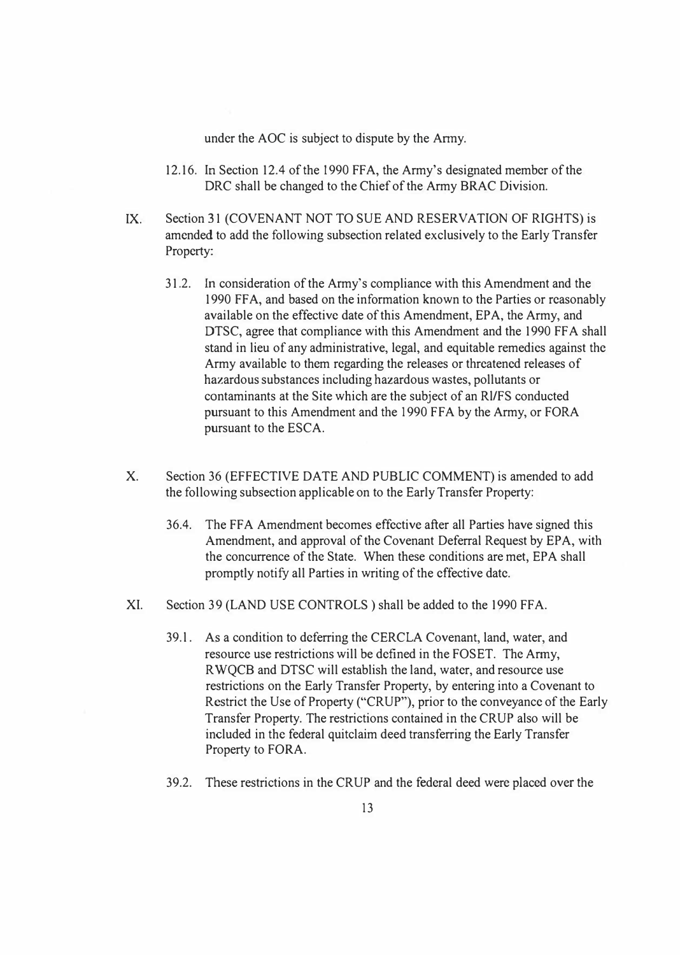under the AOC is subject to dispute by the Anny.

- 12.16. In Section 12.4 of the 1990 FF A, the Army's designated member of the DRC shall be changed to the Chief of the Army BRAC Division.
- IX. Section 31 (COVENANT NOT TO SUE AND RESERVATION OF RIGHTS) is amended to add the following subsection related exclusively to the Early Transfer Property:
	- 31.2. In consideration of the Army's compliance with this Amendment and the 1990 FFA, and based on the information known to the Parties or reasonably available on the effective date of this Amendment, EPA, the Army, and DTSC, agree that compliance with this Amendment and the 1990 FF A shall stand in lieu of any administrative, legal, and equitable remedies against the Army available to them regarding the releases or threatened releases of hazardous substances including hazardous wastes, pollutants or contaminants at the Site which are the subject of an Rl/FS conducted pursuant to this Amendment and the 1990 FFA by the Army, or FORA pursuant to the ESCA.
- X. Section 36 (EFFECTIVE DATE AND PUBLIC COMMENT) is amended to add the following subsection applicable on to the Early Transfer Property:
	- 36.4. The FF A Amendment becomes effective after all Parties have signed this Amendment, and approval of the Covenant Deferral Request by EPA, with the concurrence of the State. When these conditions are met, EPA shall promptly notify all Parties in writing of the effective date.
- XI. Section 39 (LAND USE CONTROLS) shall be added to the 1990 FFA.
	- 39.1. As a condition to deferring the CERCLA Covenant, land, water, and resource use restrictions will be defined in the FOSET. The Army, RWQCB and DTSC will establish the land, water, and resource use restrictions on the Early Transfer Property, by entering into a Covenant to Restrict the Use of Property ("CRUP"), prior to the conveyance of the Early Transfer Property. The restrictions contained in the CRUP also will be included in the federal quitclaim deed transferring the Early Transfer Property to FORA.
	- 39.2. These restrictions in the CRUP and the federal deed were placed over the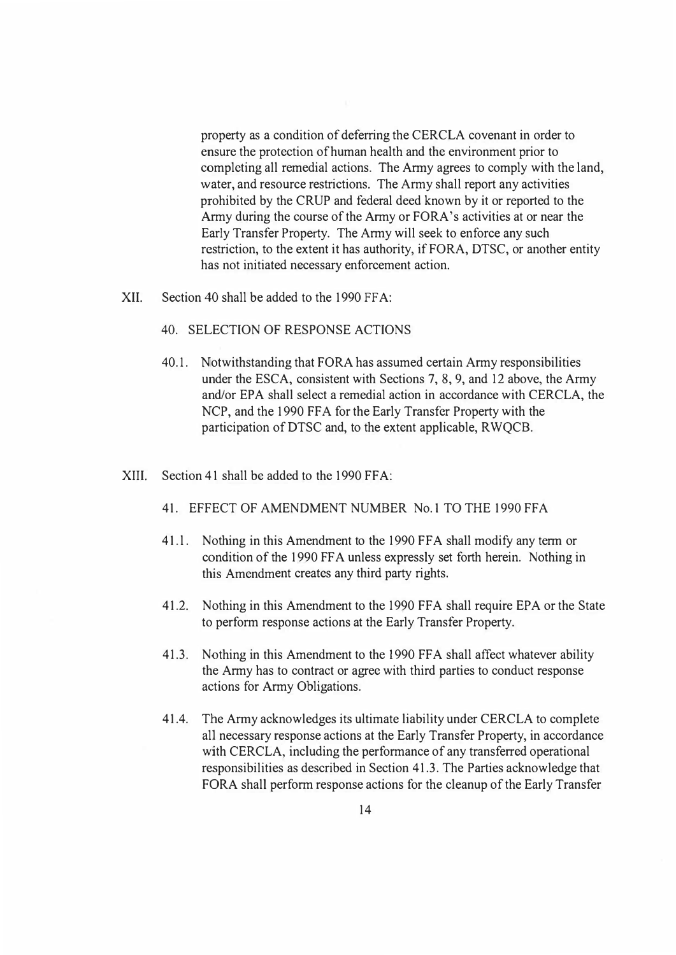property as a condition of deferring the CERCLA covenant in order to ensure the protection of human health and the environment prior to completing all remedial actions. The Army agrees to comply with the land, water, and resource restrictions. The Army shall report any activities prohibited by the CRUP and federal deed known by it or reported to the Army during the course of the Army or FORA's activities at or near the Early Transfer Property. The Army will seek to enforce any such restriction, to the extent it has authority, if FORA, DTSC, or another entity has not initiated necessary enforcement action.

- XII. Section 40 shall be added to the 1990 FFA:
	- 40. SELECTION OF RESPONSE ACTIONS
	- 40.1. Notwithstanding that FORA has assumed certain Army responsibilities under the ESCA, consistent with Sections 7, 8, 9, and 12 above, the Army and/or EPA shall select a remedial action in accordance with CERCLA, the NCP, and the 1990 FFA for the Early Transfer Property with the participation of DTSC and, to the extent applicable, RWQCB.
- XIII. Section 41 shall be added to the 1990 FFA:
	- 41. EFFECT OF AMENDMENT NUMBER No. I TO THE 1990 FF A
	- 41.1. Nothing in this Amendment to the 1990 FFA shall modify any term or condition of the 1990 FF A unless expressly set forth herein. Nothing in this Amendment creates any third party rights.
	- 41.2. Nothing in this Amendment to the 1990 FFA shall require EPA or the State to perform response actions at the Early Transfer Property.
	- 41.3. Nothing in this Amendment to the 1990 FFA shall affect whatever ability the Army has to contract or agree with third parties to conduct response actions for Army Obligations.
	- 41.4. The Army acknowledges its ultimate liability under CERCLA to complete all necessary response actions at the Early Transfer Property, in accordance with CERCLA, including the performance of any transferred operational responsibilities as described in Section 41.3. The Parties acknowledge that FORA shall perform response actions for the cleanup of the Early Transfer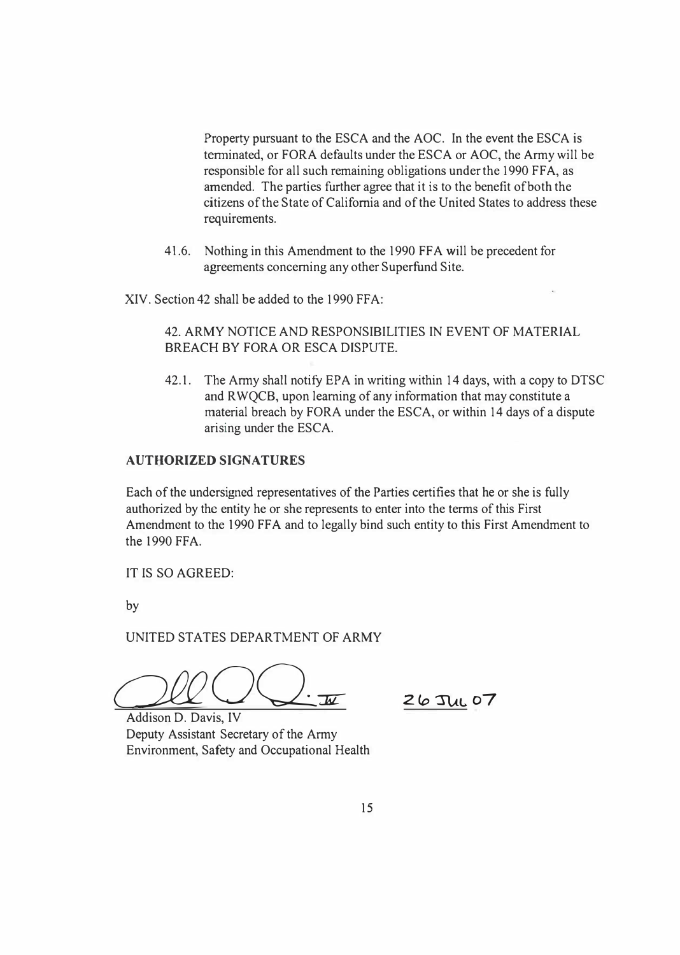Property pursuant to the ESCA and the AOC. In the event the ESCA is terminated, or FORA defaults under the ESCA or AOC, the Army will be responsible for all such remaining obligations under the 1990 FFA, as amended. The parties further agree that it is to the benefit of both the citizens of the State of California and of the United States to address these requirements.

41.6. Nothing in this Amendment to the 1990 FF A will be precedent for agreements concerning any other Superfund Site.

XIV. Section 42 shall be added to the 1990 FFA:

## 42. ARMY NOTICE AND RESPONSIBILITIES IN EVENT OF MATERIAL BREACH BY FORA OR ESCA DISPUTE.

42.1. The Army shall notify EPA in writing within 14 days, with a copy to DTSC and R WQCB, upon learning of any information that may constitute a material breach by FORA under the ESCA, or within 14 days of a dispute arising under the ESCA.

#### **AUTHORIZED SIGNATURES**

Each of the undersigned representatives of the Parties certifies that he or she is fully authorized by the entity he or she represents to enter into the terms of this First Amendment to the 1990 FFA and to legally bind such entity to this First Amendment to the 1990 FFA.

IT IS SO AGREED:

by

UNITED STATES DEPARTMENT OF ARMY

*QJQQ Q*.

**2(o 'n.tt.. o7** 

Deputy Assistant Secretary of the Army Environment, Safety and Occupational Health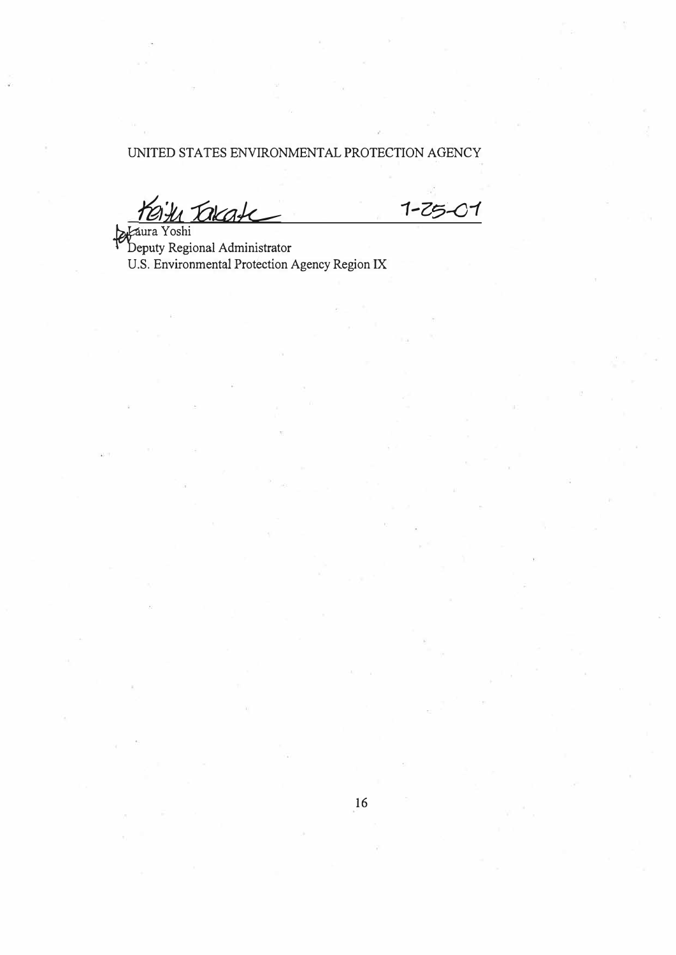## UNITED STATES ENVIRONMENTAL PROTECTION AGENCY

*/fa'.Ju --fll<a� 1-Z��1*

*Denuty* Regi beputy Regional Administrator U.S. Environmental Protection Agency Region IX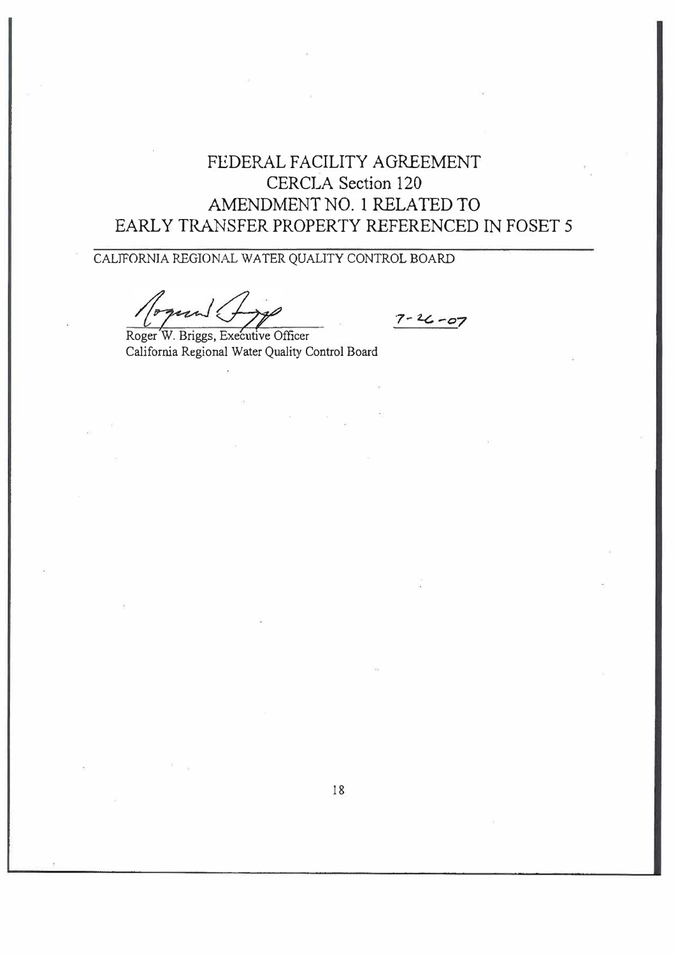# FEDERAL FACILITY AGREEMENT CERCLA Section 120 AMENDMENT NO. 1 RELATED TO EARLY TRANSFER PROPERTY REFERENCED IN FOSET 5

CALIFORNIA REGIONAL WATER QUALITY CONTROL BOARD

 $7 - 26 - 07$ 

Roger W. Briggs, Executive Officer California Regional Water Quality Control Board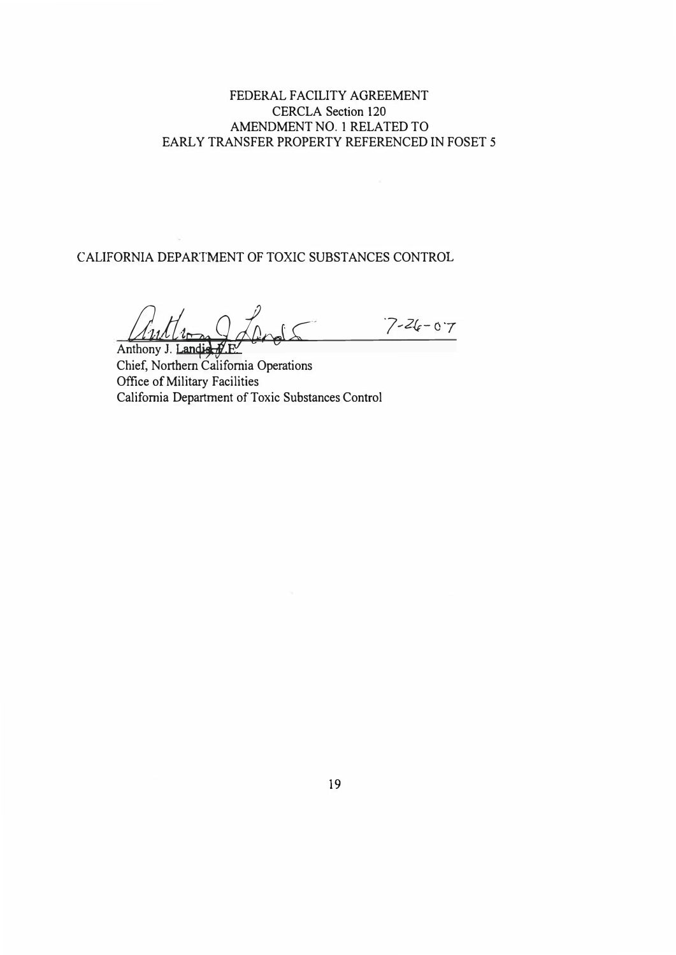### FEDERAL FACILITY AGREEMENT CERCLA Section 120 AMENDMENT N0.1 RELATED TO EARLY TRANSFER PROPERTY REFERENCED IN FOSET 5

CALIFORNIA DEPARTMENT OF TOXIC SUBSTANCES CONTROL

Author 2005 7-26-07 Anthony J. Landia

Chief, Northern California Operations Office of Military Facilities California Department of Toxic Substances Control